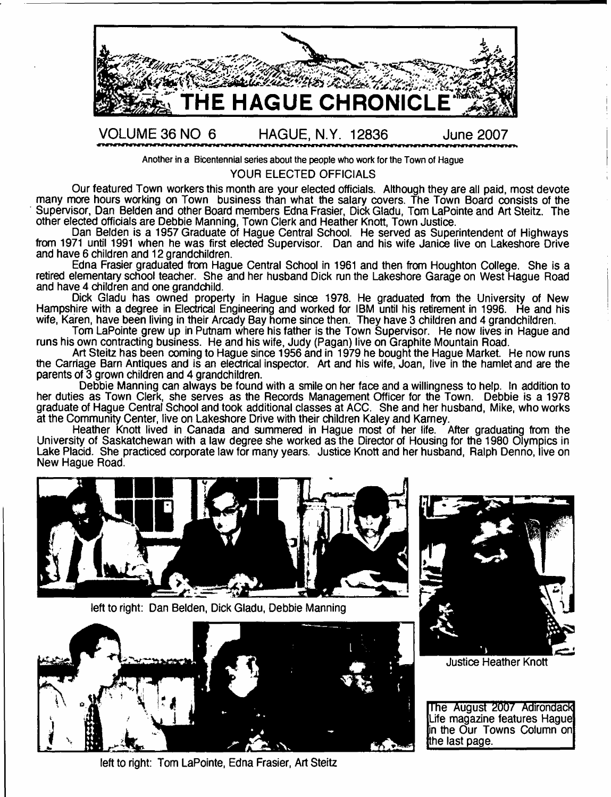

**Another in a Bicentennial series about the people who work for the Town of Hague**

## YOUR ELECTED OFFICIALS

Our featured Town workers this month are your elected officials. Although they are all paid, most devote many more hours working on Town business than what the salary covers. The Town Board consists of the Supervisor, Dan Belden and other Board members Edna Frasier, Dick Gladu, Tom LaPointe and Art Steitz. The other elected officials are Debbie Manning, Town Clerk and Heather Knott, Town Justice.

Dan Belden is a 1957 Graduate of Hague Central School. He served as Superintendent of Highways from 1971 until 1991 when he was first elected Supervisor. Dan and his wife Janice live on Lakeshore Drive and have 6 children and 12 grandchildren.

Edna Frasier graduated from Hague Central School in 1961 and then from Houghton College. She is a retired elementary school teacher. She and her husband Dick run the Lakeshore Garage on West Hague Road and have 4 children and one grandchild.

Dick Gladu has owned property in Hague since 1978. He graduated from the University of New Hampshire with a degree in Electrical Engineering and worked for IBM until his retirement in 1996. He and his wife, Karen, have been living in their Arcady Bay home since then. They have 3 children and 4 grandchildren.

Tom LaPointe grew up in Putnam where his father is the Town Supervisor. He now lives in Hague and runs his own contracting business. He and his wife, Judy (Pagan) live on Graphite Mountain Road.

Art Steitz has been coming to Hague since 1956 and in 1979 he bought the Hague Market. He now runs the Carriage Barn Antiques and is an electrical inspector. Art and his wife, Joan, live in the hamlet and are the parents of 3 grown children and 4 grandchildren.

Debbie Manning can always be found with a smile on her face and a willingness to help. In addition to her duties as Town Clerk, she serves as the Records Management Officer for the Town. Debbie is a 1978 graduate of Hague Central School and took additional classes at ACC. She and her husband, Mike, who works at the Community Center, live on Lakeshore Drive with their children Kaley and Karney.

Heather Knott lived in Canada and summered in Hague most of her life. After graduating from the University of Saskatchewan with a law degree she worked as the Director of Housing for the 1980 Olympics in Lake Placid. She practiced corporate law for many years. Justice Knott and her husband, Ralph Denno, live on New Hague Road.





**Justice Heather Knott** 

The August 2007 Adirondack Life magazine features Hague in the Our Towns Column on tthe last page.

left to right: Dan Belden, Dick Gladu, Debbie Manning



left to right: Tom LaPointe, Edna Frasier, Art Steitz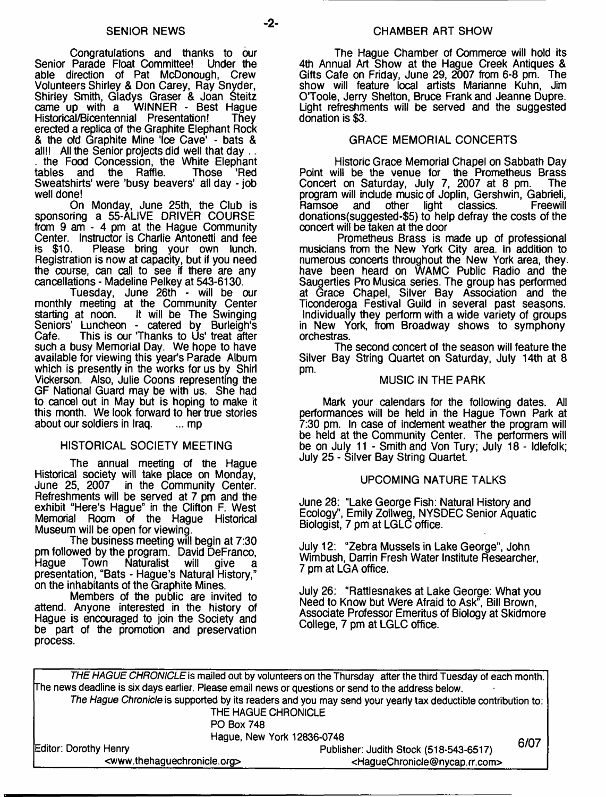Congratulations and thanks to bur Senior Parade Float Committee! Under the able direction of Pat McDonough, Crew Volunteers Shirley & Don Carey, Ray Snyder, Shirley Smith, Gladys Graser & Joan Steitz came up with a WINNER - Best Hague Historical/Bicentennial Presentation! They erected a replica of the Graphite Elephant Rock & the old Graphite Mine 'Ice Cave' - bats & all!! All the Senior projects did well that day ... the Food Concession, the White Elephant<br>tables and the Raffle. Those 'Red and the Raffle. Sweatshirts' were 'busy beavers' all day - job

well done! On Monday, June 25th, the Club is sponsoring a 55-ALIVE DRIVER COURSE from 9 am - 4 pm at the Hague Community Center. Instructor is Charlie Antonetti and fee is \$10. Please bring your own lunch. Registration is now at capacity, but if you need the course, can call to see if there are any cancellations - Madeline Pelkey at 543-6130.

Tuesday, June 26th - will be our monthly meeting at the Community Center starting at noon. It will be The Swinging Seniors' Luncheon - catered by Burleigh's Cafe. This is our 'Thanks to Us' treat after such a busy Memorial Day. We hope to have available for viewing this year's Parade Album which is presently in the works for us by Shirl Vickerson. Also, Julie Coons representing the GF National Guard may be with us. She had to cancel out in May but is hoping to make it this month. We look forward to her true stories<br>about our soldiers in Iraq.  $\ldots$  mp about our soldiers in Iraq.

## HISTORICAL SOCIETY MEETING

The annual meeting of the Hague Historical society will take place on Monday,<br>June 25, 2007 in the Community Center. in the Community Center. Refreshments will be served at 7 pm and the exhibit "Here's Hague" in the Clifton F. West Memorial Room of the Hague Historical Museum will be open for viewing.

The business meeting will begin at 7:30 pm followed by the program. David DeFranco,<br>Haque Town Naturalist will give a Hague Town Naturalist will give a presentation, "Bats - Hague's Natural History," on the inhabitants of the Graphite Mines.

Members of the public are invited to attend. Anyone interested in the history of Hague is encouraged to join the Society and be part of the promotion and preservation process.

The Hague Chamber of Commerce will hold its 4th Annual Art Show at the Hague Creek Antiques & Gifts Cafe on Friday, June 29, 2007 from 6-8 pm. The show will feature local artists Marianne Kuhn, Jim O'Toole, Jerry Shelton, Bruce Frank and Jeanne Dupre. Light refreshments will be served and the suggested donation is \$3.

## GRACE MEMORIAL CONCERTS

Historic Grace Memorial Chapel on Sabbath Day Point will be the venue for the Prometheus Brass Concert on Saturday, July 7, 2007 at 8 pm. program will include music of Joplin, Gershwin, Gabrieli, Ramsoe and other light classics. Freewill donations(suggested-\$5) to help defray the costs of the concert will be taken at the door

Prometheus Brass is made up of professional musicians from the New York City area. In addition to numerous concerts throughout the New York area, they, have been heard on WAMC Public Radio and the Saugerties Pro Musica series. The group has performed at Grace Chapel, Silver Bay Association and the Ticonderoga Festival Guild in several past seasons. Individually they perform with a wide variety of groups in New York, from Broadway shows to symphony orchestras.

The second concert of the season will feature the Silver Bay String Quartet on Saturday, July 14th at 8 pm.

## MUSIC IN THE PARK

Mark your calendars for the following dates. All performances will be held in the Hague Town Park at 7:30 pm. In case of inclement weather the program will be held at the Community Center. The performers will be on July 11 - Smith and Von Tury; July 18 - Idlefolk; July 25 - Silver Bay String Quartet.

## UPCOMING NATURE TALKS

June 28: "Lake George Fish: Natural History and Ecology", Emily Zollweg, NYSDEC Senior Aquatic Biologist, 7 pm at LGLC office.

July 12: "Zebra Mussels in Lake George", John Wimbush, Darrin Fresh Water Institute Researcher, 7 pm at LG A office.

July 26: "Rattlesnakes at Lake George: What you Need to Know but Were Afraid to Ask", Bill Brown, Associate Professor Emeritus of Biology at Skidmore College, 7 pm at LGLC office.

| THE HAGUE CHRONICLE is mailed out by volunteers on the Thursday after the third Tuesday of each month. |  |
|--------------------------------------------------------------------------------------------------------|--|
| The news deadline is six days earlier. Please email news or questions or send to the address below.    |  |

*The Hague Chronicle* **is supported by its readers and you may send your yearly tax deductible contribution to: THE HAGUE CHRONICLE**

**Hague, New York 12836-0748**

| ס <del>ו</del> י וטיטטסאו הוטו ישטאוי                   |                                                             |      |  |
|---------------------------------------------------------|-------------------------------------------------------------|------|--|
| Editor: Dorothy Henry                                   | Publisher: Judith Stock (518-543-6517)                      | 6/07 |  |
| <www.thehaguechronicle.org></www.thehaguechronicle.org> | <haguechronicle@nycap.rr.com></haguechronicle@nycap.rr.com> |      |  |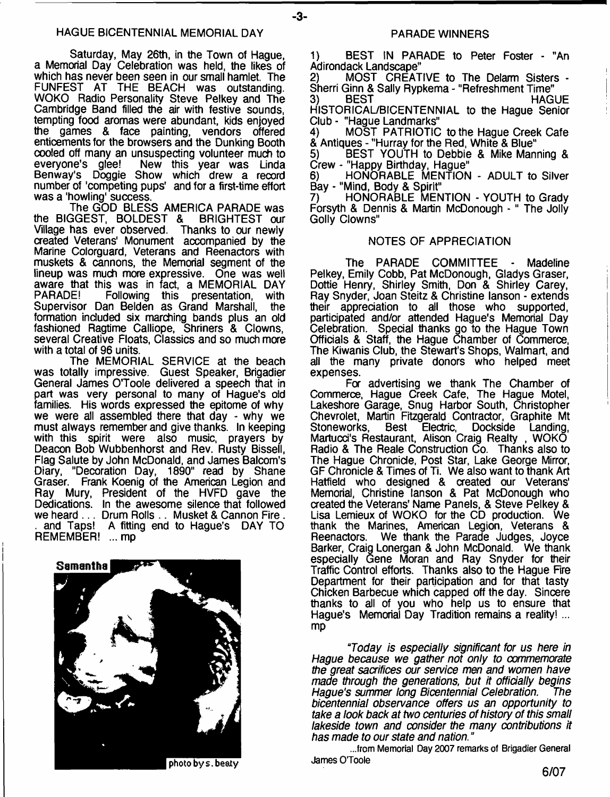#### HAGUE BICENTENNIAL MEMORIAL DAY

Saturday, May 26th, in the Town of Hague, a Memorial Day Celebration was held, the likes of which has never been seen in our small hamlet. The FUNFEST AT THE BEACH was outstanding. WOKO Radio Personality Steve Pelkey and The Cambridge Band filled the air with festive sounds, tempting food aromas were abundant, kids enjoyed the games & face painting, vendors offered enticements for the browsers and the Dunking Booth cooled off many an unsuspecting volunteer much to everyone's glee! New this year was Linda Benway's Doggie Show which drew a record number of 'competing pups' and for a first-time effort was a 'howling' success.

The GOD BLESS AMERICA PARADE was the BIGGEST, BOLDEST & BRIGHTEST our Village has ever observed. Thanks to our newly created Veterans' Monument accompanied by the Marine Colorguard, Veterans and Reenactors with muskets & cannons, the Memorial segment of the lineup was much more expressive. One was well aware that this was in fact, a MEMORIAL DAY Following this presentation, with<br>an Belden as Grand Marshall, the Supervisor Dan Belden as Grand Marshall, formation included six marching bands plus an old fashioned Ragtime Calliope, Shriners & Clowns, several Creative Floats, Classics and so much more with a total of 96 units.

The MEMORIAL SERVICE at the beach was totally impressive. Guest Speaker, Brigadier General James O'Toole delivered a speech that in part was very personal to many of Hague's old families. His words expressed the epitome of why we were all assembled there that day - why we must always remember and give thanks. In keeping with this spirit were also music, prayers by Deacon Bob Wubbenhorst and Rev. Rusty Bissell, Flag Salute by John McDonald, and James Balcom's Diary, "Decoration Day, 1890" read by Shane Graser. Frank Koenig of the American Legion and Ray Mury, President of the HVFD gave the Dedications. In the awesome silence that followed we heard... Drum Rolls .. Musket & Cannon Fire. . and Taps! A fitting end to Hague's DAY TO REMEMBER! ... mp



#### PARADE WINNERS

1) BEST IN PARADE to Peter Foster - "An Adirondack Landscape<sup>"</sup><br>2) MOST CREAT

MOST CREATIVE to The Delarm Sisters -Sherri Ginn & Sally Rypkema - "Refreshment Time"

3) BEST HAGUE HISTORICAL/BICENTENNIAL to the Hague Senior Club - "Hague Landmarks"

4) MOST PATRIOTIC to the Hague Creek Cafe & Antiques - "Hurray for the Red, White & Blue"

5) BEST YOUTH to Debbie & Mike Manning & Crew - "Happy Birthday, Hague"

6) HONORABLE MENTION - ADULT to Silver Bay - "Mind, Body & Spirit"

7) HONORABLE MENTION - YOUTH to Grady Forsyth & Dennis & Martin McDonough - " The Jolly Golly Clowns"

#### NOTES OF APPRECIATION

The PARADE COMMITTEE - Madeline Pelkey, Emily Cobb, Pat McDonough, Gladys Graser, Dottie Henry, Shirley Smith, Don & Shirley Carey, Ray Snyder, Joan Steitz & Christine lanson - extends their appreciation to all those who supported, participated and/or attended Hague's Memorial Day Celebration. Special thanks go to the Hague Town Officials & Staff, the Hague Chamber of Commerce, The Kiwanis Club, the Stewart's Shops, Walmart, and all the many private donors who helped meet expenses.

For advertising we thank The Chamber of Commerce, Hague Creek Cafe, The Hague Motel, Lakeshore Garage, Snug Harbor South, Christopher Chevrolet, Martin Fitzgerald Contractor, Graphite Mt Best Electric, Dockside Landing, Martucd's Restaurant, Alison Craig Realty , WOKO Radio & The Reale Construction Co. Thanks also to The Hague Chronicle, Post Star, Lake George Mirror, GF Chronicle & Times of Ti. We also want to thank Art Hatfield who designed & created our Veterans' Memorial, Christine lanson & Pat McDonough who created the Veterans' Name Panels, & Steve Pelkey & Lisa Lemieux of WOKO for the CD production. We thank the Marines, American Legion, Veterans & Reenactors. We thank the Parade Judges, Joyce Barker, Craig Lonergan & John McDonald. We thank especially Gene Moran and Ray Snyder for their Traffic Control efforts. Thanks also to the Hague Fire Department for their participation and for that tasty Chicken Barbecue which capped off the day. Sincere thanks to all of you who help us to ensure that Hague's Memorial Day Tradition remains a reality! ... mp

*"Today is especially significant for us here in Hague because we gather not only to commemorate the great sacrifices our service men and women have made through the generations, but it officially begins* **Hague's summer long Bicentennial Celebration.** *bicentennial observance offers us an opportunity to take a look back at two centuries of history of this small lakeside town and consider the many contributions it has made to our state and nation.* "

**...from Memorial Day 2007 remarks of Brigadier General James OToole**

**photo by s. beat y**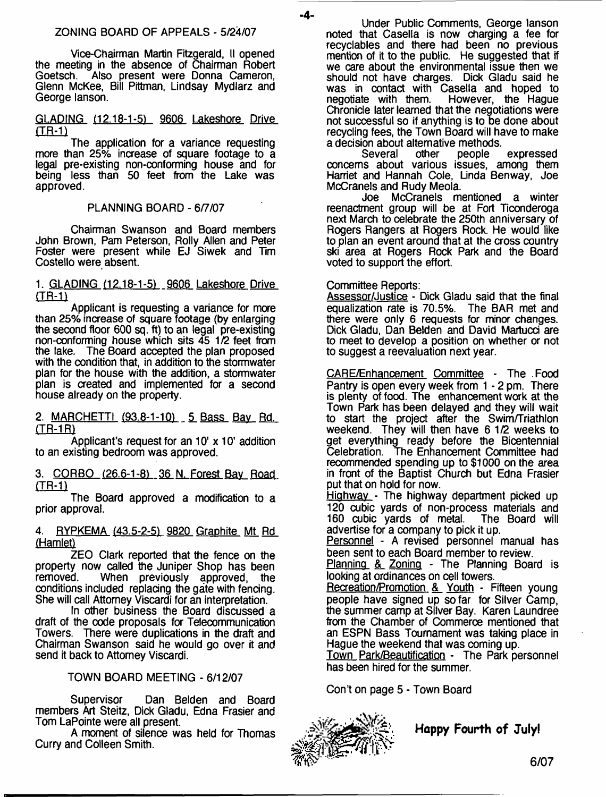Vice-Chairman Martin Fitzgerald, II opened the meeting in the absence of Chairman Robert<br>Goetsch. Also present were Donna Cameron. Also present were Donna Cameron, Glenn McKee, Bill Pittman, Lindsay Mydlarz and George lanson.

## GLADING (12.18-1-51 9606 Lakeshore Drive (TR-1)

The application for a variance requesting more than 25% increase of square footage to a legal pre-existing non-conforming house and for being less than 50 feet from the Lake was approved.

## PLANNING BOARD - 6/7/07

Chairman Swanson and Board members John Brown, Pam Peterson, Roily Allen and Peter Foster were present while EJ Siwek and Tim Costello were absent.

1. GLADING (12.18-1-51 9606 Lakeshore Drive (TR-1)

Applicant is requesting a variance for more than 25% increase of square footage (by enlarging the second floor 600 sq. ft) to an legal pre-existing non-conforming house which sits 45 1/2 feet from the lake. The Board accepted the plan proposed with the condition that, in addition to the stormwater plan for the house with the addition, a stormwater plan is created and implemented for a second house already on the property.

2. MARCHETTI (93.8-1-10) 5 Bass Bay Rd. (TR-1R)

Applicant's request for an 10' x 10' addition to an existing bedroom was approved.

3. CQRBO (26.6-1-81 36 N. Forest Bav Road **(TR-1)**

The Board approved a modification to a prior approval.

## 4. RYPKEMA (43.5-2-51 9820 Graphite Mt Rd (Hamlet)

ZEO Clark reported that the fence on the property now called the Juniper Shop has been<br>removed. When previously approved, the When previously approved, the conditions included replacing the gate with fencing. She will call Attorney Viscardi for an interpretation.

In other business the Board discussed a draft of the code proposals for Telecommunication Towers. There were duplications in the draft and Chairman Swanson said he would go over it and send it back to Attorney Viscardi.

## TOWN BOARD MEETING - 6/12/07

Supervisor Dan Belden and Board members Art Steitz, Dick Gladu, Edna Frasier and Tom LaPointe were all present.

A moment of silence was held for Thomas Curry and Colleen Smith.

Under Public Comments, George lanson noted that Casella is now charging a fee for recyclables and there had been no previous mention of it to the public. He suggested that if we care about the environmental issue then we should not have charges. Dick Gladu said he was in contact with Casella and hoped to negotiate with them. However, the Hague However, the Hague Chronicle later learned that the negotiations were not successful so if anything is to be done about recycling fees, the Town Board will have to make a decision about alternative methods.<br>Several other people

Several other people expressed concerns about various issues, among them Harriet and Hannah Cole, Linda Benway, Joe McCranels and Rudy Meola.

Joe McCranels mentioned a winter reenactment group will be at Fort Ticonderoga next March to celebrate the 250th anniversary of Rogers Rangers at Rogers Rock. He would like to plan an event around that at the cross country ski area at Rogers Rock Park and the Board voted to support the effort.

## Committee Reports:

-4-

Assessor/Justice - Dick Gladu said that the final equalization rate is 70.5%. The BAR met and there were only 6 requests for minor changes. Dick Gladu, Dan Belden and David Martucci are to meet to develop a position on whether or not to suggest a reevaluation next year.

CARE/Enhancement Committee - The Food Pantry is open every week from 1 - 2 pm. There is plenty of food. The enhancement work at the Town Park has been delayed and they will wait to start the project after the Swim/Triathlon weekend. They will then have 6 1/2 weeks to get everything ready before the Bicentennial Celebration. The Enhancement Committee had recommended spending up to \$1000 on the area in front of the Baptist Church but Edna Frasier put that on hold for now.

Highway - The highway department picked up 120 cubic yards of non-process materials and<br>160 cubic yards of metal. The Board will 160 cubic yards of metal. advertise for a company to pick it up.

Personnel - A revised personnel manual has been sent to each Board member to review.

Planning & Zoning - The Planning Board is looking at ordinances on cell towers.

Recreation/Promotion & Youth - Fifteen young people have signed up so far for Silver Camp, the summer camp at Silver Bay. Karen Laundree from the Chamber of Commerce mentioned that an ESPN Bass Tournament was taking place in Hague the weekend that was coming up.

Town Park/Beautification - The Park personnel has been hired for the summer.

Con't on page 5 - Town Board



**Happy Fourth of July!**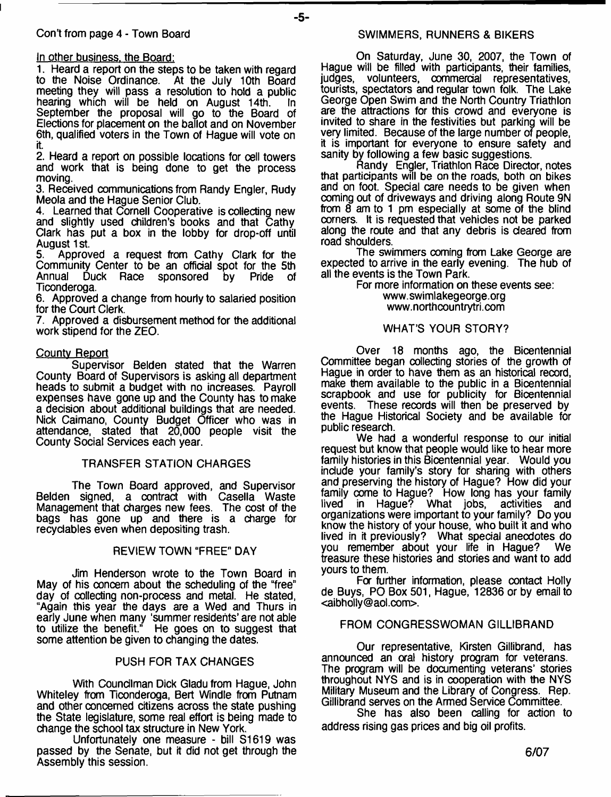1. Heard a report on the steps to be taken with regard to the Noise Ordinance. At the July 10th Board meeting they will pass a resolution to hold a public<br>hearing which will be held on August 14th hearing which will be held on August 14th. September the proposal will go to the Board of Elections for placement on the ballot and on November 6th, qualified voters in the Town of Hague will vote on it.

- **5**-

2. Heard a report on possible locations for cell towers and work that is being done to get the process moving.

3. Received communications from Randy Engler, Rudy Meola and the Hague Senior Club.

4. Learned that Cornell Cooperative is collecting new and slightly used children's books and that Cathy Clark has put a box in the lobby for drop-off until August 1st.

Approved a request from Cathy Clark for the Community Center to be an official spot for the 5th<br>Annual Duck Race sponsored by Pride of Duck Race Ticonderoga.

6. Approved a change from hourly to salaried position for the Court Clerk.

7. Approved a disbursement method for the additional work stipend for the ZEO.

## Countv Report

Supervisor Belden stated that the Warren County Board of Supervisors is asking all department heads to submit a budget with no increases. Payroll expenses have gone up and the County has to make a decision about additional buildings that are needed. Nick Caimano, County Budget Officer who was in attendance, stated that 20,000 people visit the County Social Services each year.

## TRANSFER STATION CHARGES

The Town Board approved, and Supervisor Belden signed, a contract with Casella Waste Management that charges new fees. The cost of the bags has gone up and there is a charge for recydables even when depositing trash.

## REVIEW TOWN "FREE" DAY

Jim Henderson wrote to the Town Board in May of his concern about the scheduling of the "free" day of collecting non-process and metal. He stated, "Again this year the days are a Wed and Thurs in early June when many 'summer residents' are not able to utilize the benefit." He goes on to suggest that some attention be given to changing the dates.

## PUSH FOR TAX CHANGES

With Councilman Dick Gladu from Hague, John Whiteley from Ticonderoga, Bert Windle from Putnam and other concerned citizens across the state pushing the State legislature, some real effort is being made to change the school tax structure in New York.

Unfortunately one measure - bill S1619 was passed by the Senate, but it did not get through the Assembly this session.

On Saturday, June 30, 2007, the Town of Hague will be filled with participants, their families, volunteers, commercial representatives, tourists, spectators and regular town folk. The Lake George Open Swim and the North Country Triathlon are the attractions for this crowd and everyone is invited to share in the festivities but parking will be very limited. Because of the large number of people, it is important for everyone to ensure safety and sanity by following a few basic suggestions.

Randy Engler, Triathlon Race Director, notes that participants will be on the roads, both on bikes and on foot. Special care needs to be given when coming out of driveways and driving along Route 9N from 8 am to 1 pm especially at some of the blind corners. It is requested that vehicles not be parked along the route and that any debris is cleared from road shoulders.

The swimmers coming from Lake George are expected to arrive in the early evening. The hub of all the events is the Town Park.

For more information on these events see: [www.swimlakegeorge.org](http://www.swimlakegeorge.org)  [www.northcountrytri.com](http://www.northcountrytri.com)

## WHAT'S YOUR STORY?

Over 18 months ago, the Bicentennial Committee began collecting stories of the growth of Hague in order to have them as an historical record, make them available to the public in a Bicentennial scrapbook and use for publicity for Bicentennial events. These records will then be preserved by the Hague Historical Society and be available for public research.

We had a wonderful response to our initial request but know that people would like to hear more family histories in this Bicentennial year. Would you include your family's story for sharing with others and preserving the history of Hague? How did your family come to Hague? How long has your family lived in Hague? What jobs, activities and organizations were important to your family? Do you know the history of your house, who built it and who lived in it previously? What special anecdotes do you remember about your life in Hague? We treasure these histories and stories and want to add yours to them.

Fa further information, please contact Holly de Buys, PO Box 501, Hague, 12836 or by email to <[aibholly@aol.com>](mailto:aibholly@aol.com).

## FROM CONGRESSWOMAN GILLIBRAND

Our representative, Kirsten Gillibrand, has announced an oral history program for veterans. The program will be documenting veterans' stories throughout NYS and is in cooperation with the NYS Military Museum and the Library of Congress. Rep. Gillibrand serves on the Armed Service Committee.

She has also been calling for action to address rising gas prices and big oil profits.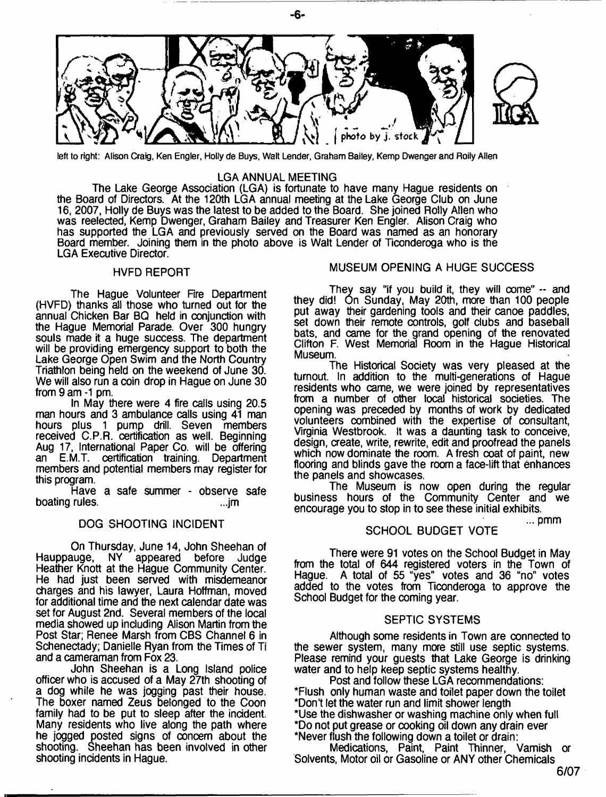

**left to right: Alison Craig, Ken Engler, Holly de Buys, Walt Lender, Graham Bailey, Kemp Dwenger and Roily Allen**

#### LGA ANNUAL MEETING

The Lake George Association (LGA) is fortunate to have many Hague residents on the Board of Directors. At the 120th LGA annual meeting at the Lake George Club on June 16, 2007, Holly de Buys was the latest to be added to the Board. She joined Roily Allen who was reelected, Kemp Dwenger, Graham Bailey and Treasurer Ken Engler. Alison Craig who has supported the LGA and previously served on the Board was named as an honorary Board member. Joining them in the photo above is Walt Lender of Ticonderoga who is the LGA Executive Director.

#### HVFD REPORT

The Haque Volunteer Fire Department (HVFD) thanks all those who turned out for the annual Chicken Bar BQ held in conjunction with the Hague Memorial Parade. Over 300 hungry souls made it a huge success. The department will be providing emergency support to both the Lake George Open Swim and the North Country Triathlon being held on the weekend of June 30. We will also run a coin drop in Hague on June 30 from 9 am -1 pm.

In May there were 4 fire calls using 20.5 man hours and 3 ambulance calls using 41 man hours plus 1 pump drill. Seven members received C.P.R. certification as well. Beginning Aug 17, International Paper Co. will be offering<br>an E.M.T. certification training. Department E.M.T. certification training. Department members and potential members may register for this program.

Have a safe summer - observe safe boating rules.

#### DOG SHOOTING INCIDENT

On Thursday, June 14, John Sheehan of Hauppauge, NY appeared before Judge Heather Knott at the Hague Community Center. He had just been served with misdemeanor charges and his lawyer, Laura Hoffman, moved for additional time and the next calendar date was set for August 2nd. Several members of the local media showed up including Alison Martin from the Post Star; Renee Marsh from CBS Channel 6 in Schenectady; Danielle Ryan from the Times of Ti and a cameraman from Fox 23.

John Sheehan is a Long Island police officer who is accused of a May 27th shooting of a dog while he was jogging past their house. The boxer named Zeus belonged to the Coon family had to be put to sleep after the incident. Many residents who live along the path where he jogged posted signs of concern about the shooting. Sheehan has been involved in other shooting incidents in Hague.

#### MUSEUM OPENING A HUGE SUCCESS

They say "if you build it, they will come" -- and they did! On Sunday, May 20th, more than 100 people put away their gardening tools and their canoe paddles, set down their remote controls, golf dubs and baseball bats, and came for the grand opening of the renovated Clifton F. West Memorial Room in the Hague Historical Museum.

The Historical Society was very pleased at the turnout. In addition to the multi-generations of Hague residents who came, we were joined by representatives from a number of other local historical societies. The opening was preceded by months of work by dedicated volunteers combined with the expertise of consultant, Virginia Westbrook. It was a daunting task to conceive, design, create, write, rewrite, edit and proofread the panels which now dominate the room. A fresh coat of paint, new flooring and blinds gave the room a face-lift that enhances the panels and showcases.

The Museum is now open during the regular business hours of the Community Center and we encourage you to stop in to see these initial exhibits.

... pmm

## SCHOOL BUDGET VOTE

There were 91 votes on the School Budget in May from the total of 644 registered voters in the Town of Hague. A total of 55 "yes" votes and 36 "no" votes added to the votes from Ticonderoga to approve the School Budget for the coming year.

#### SEPTIC SYSTEMS

Although some residents in Town are connected to the sewer system, many more still use septic systems. Please remind your guests that Lake George is drinking water and to help keep septic systems healthy.

Post and follow these LGA recommendations: \*Flush only human waste and toilet paper down the toilet \*Don't let the water run and limit shower length \*Use the dishwasher or washing machine only when full \*Do not put grease or cooking oil down any drain ever \*Never flush the following down a toilet or drain:

Medications, Paint, Paint Thinner, Varnish or Solvents, Motor oil or Gasoline or ANY other Chemicals

- **6**-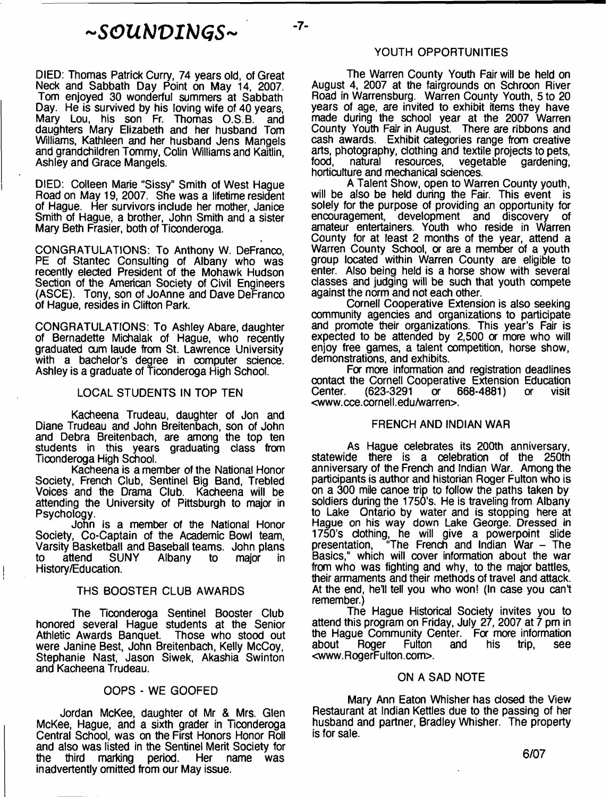## **<sup>~</sup>** *SOUbJVIblGS***<sup>~</sup>**

 $-7-$ 

DIED: Thomas Patrick Curry, 74 years old, of Great Neck and Sabbath Day Point on May 14, 2007. Tom enjoyed 30 wonderful summers at Sabbath Day. He is survived by his loving wife of 40 years, Mary Lou, his son Fr. Thomas O.S.B. and daughters Mary Elizabeth and her husband Tom Williams, Kathleen and her husband Jens Mangels and grandchildren Tommy, Colin Williams and Kaitlin, Ashley and Grace Mangels.

DIED: Colleen Marie "Sissy" Smith of West Hague Road on May 19, 2007. She was a lifetime resident of Hague. Her survivors include her mother, Janice Smith of Hague, a brother, John Smith and a sister Mary Beth Frasier, both of Ticonderoga.

CONGRATULATIONS: To Anthony W. DeFranco, PE of Stantec Consulting of Albany who was recently elected President of the Mohawk Hudson Section of the American Society of Civil Engineers (ASCE). Tony, son of JoAnne and Dave DeFranco of Hague, resides in Clifton Park.

CONGRATULATIONS: To Ashley Abare, daughter of Bernadette Michalak of Hague, who recently graduated cum laude from St. Lawrence University with a bachelor's degree in computer science. Ashley is a graduate of Ticonderoga High School.

#### LOCAL STUDENTS IN TOP TEN

Kacheena Trudeau, daughter of Jon and Diane Trudeau and John Breitenbach, son of John and Debra Breitenbach, are among the top ten students in this years graduating class from Tioonderoga High School.

Kacheena is a member of the National Honor Society, French Club, Sentinel Big Band, Trebled Voices and the Drama Club. Kacheena will be attending the University of Pittsburgh to major in Psychology.

John is a member of the National Honor Society, Co-Captain of the Academic Bowl team, Varsity Basketball and Baseball teams. John plans Albany to major in History/Education.

## THS BOOSTER CLUB AWARDS

The Ticonderoga Sentinel Booster Club honored several Hague students at the Senior Athletic Awards Banquet. Those who stood out were Janine Best, John Breitenbach, Kelly McCoy, Stephanie Nast, Jason Siwek, Akashia Swinton and Kacheena Trudeau.

#### OOPS - WE GOOFED

Jordan McKee, daughter of Mr & Mrs. Glen McKee, Hague, and a sixth grader in Ticonderoga Central School, was on the First Honors Honor Roll and also was listed in the Sentinel Merit Society for the third marking period. Her name was inadvertently omitted from our May issue.

#### YOUTH OPPORTUNITIES

The Warren County Youth Fair will be held on August 4, 2007 at the fairgrounds on Schroon River Road in Warrensburg. Warren County Youth, 5 to 20 years of age, are invited to exhibit items they have made during the school year at the 2007 Warren County Youth Fair in August. There are ribbons and cash awards. Exhibit categories range from creative arts, photography, clothing and textile projects to pets, resources, vegetable gardening, horticulture and mechanical sciences.

A Talent Show, open to Warren County youth, will be also be held during the Fair. This event is solely for the purpose of providing an opportunity for encouragement, development and discovery of amateur entertainers. Youth who reside in Warren County for at least 2 months of the year, attend a Warren County School, or are a member of a youth group located within Warren County are eligible to enter. Also being held is a horse show with several classes and judging will be such that youth compete against the norm and not each other.

Cornell Cooperative Extension is also seeking community agencies and organizations to participate and promote their organizations. This year's Fair is expected to be attended by 2,500 or more who will enjoy free games, a talent competition, horse show, demonstrations, and exhibits.

For more information and registration deadlines contact the Cornell Cooperative Extension Education (623-3291 or 668-4881) or visit <www.cce.cornell.edu/warren>.

#### FRENCH AND INDIAN WAR

As Hague celebrates its 200th anniversary, statewide there is a celebration of the 250th anniversary of the French and Indian War. Among the participants is author and historian Roger Fulton who is on a 300 mile canoe trip to follow the paths taken by soldiers during the 1750's. He is traveling from Albany to Lake Ontario by water and is stopping here at Hague on his way down Lake George. Dressed in 1750's clothing, he will give a powerpoint slide presentation, "The French and Indian War – The Basics," which will cover information about the war from who was fighting and why, to the major battles, their armaments and their methods of travel and attack. At the end, he'll tell you who won! (In case you can't remember.)

The Hague Historical Society invites you to attend this program on Friday, July 27, 2007 at 7 pm in the Hague Community Center. For more information about Roger Fulton and his trip, see [<www.RogerFulton.com>](http://www.RogerFulton.com).

#### ON A SAD NOTE

Mary Ann Eaton Whisher has closed the View Restaurant at Indian Kettles due to the passing of her husband and partner, Bradley Whisher. The property is for sale.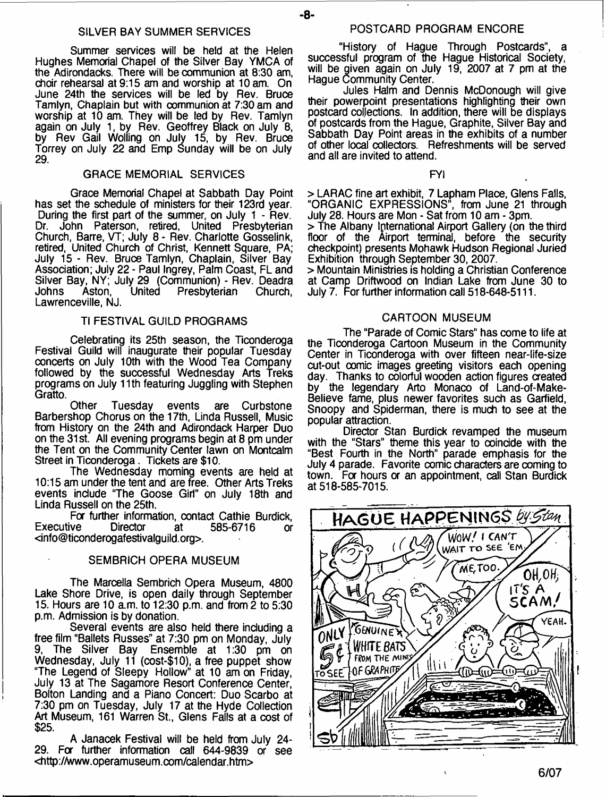#### SILVER BAY SUMMER SERVICES

Summer services will be held at the Helen Hughes Memorial Chapel of the Silver Bay YMCA of the Adirondacks. There will be communion at 8:30 am, choir rehearsal at 9:15 am and worship at 10 am. On June 24th the services will be led by Rev. Bruce Tamlyn, Chaplain but with communion at 7:30 am and worship at 10 am. They will be led by Rev. Tamlyn again on July 1, by Rev. Geoffrey Black on July 8, by Rev Gail Wolling on July 15, by Rev. Bruce Torrey on July 22 and Emp Sunday will be on July 29.

## GRACE MEMORIAL SERVICES

Grace Memorial Chapel at Sabbath Day Point has set the schedule of ministers for their 123rd year. During the first part of the summer, on July 1 - Rev. John Paterson, retired, United Presbyterian Church, Barre, VT; July 8 - Rev. Charlotte Gosselink, retired, United Church of Christ, Kennett Square, PA; July 15 - Rev. Bruce Tamlyn, Chaplain, Silver Bay Association; July 22 - Paul Ingrey, Palm Coast, FL and Silver Bay, NY; July 29 (Communion) - Rev. Deadra<br>Johns Aston. United Presbyterian Church, **Presbyterian** Lawrenceville, NJ.

## Tl FESTIVAL GUILD PROGRAMS

Celebrating its 25th season, the Ticonderoga Festival Guild will inaugurate their popular Tuesday concerts on July 10th with the Wood Tea Company followed by the successful Wednesday Arts Treks programs on July 11th featuring Juggling with Stephen Gratto.

Other Tuesday events are Curbstone Barbershop Chorus on the 17th, Linda Russell, Music from History on the 24th and Adirondack Harper Duo on the 31 st. All evening programs begin at 8 pm under the Tent on the Community Center lawn on Montcalm Street in Ticonderoga. Tickets are \$10.

The Wednesday moming events are held at 10:15 am under the tent and are free. Other Arts Treks events include "The Goose Girl" on July 18th and Linda Russell on the 25th.

For further information, contact Cathie Burdick,<br>Executive Director at 585-6716 or 585-6716 or <[info@ticonderogafestivalguild.org>](mailto:info@ticonderogafestivalguild.org).

## SEMBRICH OPERA MUSEUM

The Marcella Sembrich Opera Museum, 4800 Lake Shore Drive, is open daily through September 15. Hours are 10 a.m. to 12:30 p.m. and from 2 to 5:30 p.m. Admission is by donation.

Several events are also held there including a free film "Ballets Russes" at 7:30 pm on Monday, July The Silver Bay Ensemble at 1:30 pm on Wednesday, July 11 (cost-\$10), a free puppet show "The Legend of Sleepy Hollow" at 10 am on Friday, July 13 at The Sagamore Resort Conference Center, Bolton Landing and a Piano Concert: Duo Scarbo at 7:30 pm on Tuesday, July 17 at the Hyde Collection Art Museum, 161 Warren St., Glens Falls at a cost of \$25.

A Janacek Festival will be held from July 24- 29. Fa further information call 644-9839 or see <http://www.operamuseum.com/calendar.htm>

## POSTCARD PROGRAM ENCORE

- **8**-

"History of Hague Through Postcards", a successful program of the Hague Historical Society, will be given again on July 19, 2007 at 7 pm at the Hague Community Center.

Jules Halm and Dennis McDonough will give their powerpoint presentations highlighting their own postcard collections. In addition, there will be displays of postcards from the Hague, Graphite, Silver Bay and Sabbath Day Point areas in the exhibits of a number of other local collectors. Refreshments will be served and all are invited to attend.

FYI

> LARAC fine art exhibit, 7 Lapham Place, Glens Falls, "ORGANIC EXPRESSIONS", from June 21 through July 28. Hours are Mon - Sat from 10 am - 3pm.

> The Albany International Airport Gallery (on the third floor of the Airport terminal, before the security checkpoint) presents Mohawk Hudson Regional Juried Exhibition through September 30, 2007.

> Mountain Ministries is holding a Christian Conference at Camp Driftwood on Indian Lake from June 30 to July 7. For further information call 518-648-5111.

#### CARTOON MUSEUM

The "Parade of Comic Stars" has come to life at the Ticonderoga Cartoon Museum in the Community Center in Ticonderoga with over fifteen near-life-size cut-out comic images greeting visitors each opening day. Thanks to colorful wooden action figures created by the legendary Arto Monaco of Land-of-Make-Believe fame, plus newer favorites such as Garfield, Snoopy and Spiderman, there is much to see at the popular attraction.

Director Stan Burdick revamped the museum with the "Stars" theme this year to coincide with the "Best Fourth in the North" parade emphasis for the July 4 parade. Favorite comic characters are coming to town. For hours or an appointment, call Stan Burdick at 518-585-7015.

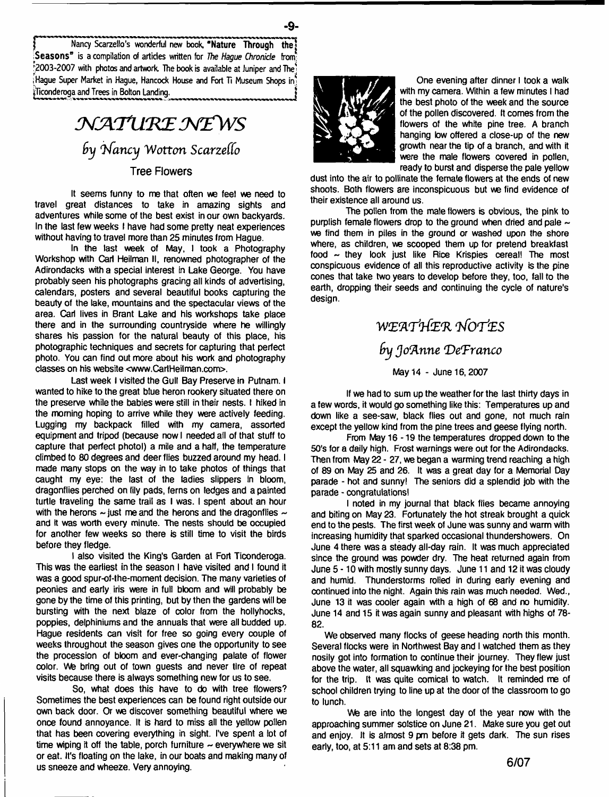Nancy Scarzello's wonderful new book, "Nature Through the .Seasons" is a compilation of articles written for *The Hague Chronicle* from; '2003-2007 with photos and artwork. The book is available at Juniper and The' iHaque Super Market in Haque, Hancock House and Fort Ti Museum Shops in Ticonderoga and Trees in Bolton Landing.

# *N A TlI'K E M fW S by Nancy Wotton Scarzello* Tree Flowers

**It seems funny to me that often we feel we need to travel great distances to take in amazing sights and adventures while some of the best exist in our own backyards. In the last few weeks I have had some pretty neat experiences without having to travel more than 25 minutes from Hague.**

**In the last week of May, I took a Photography Workshop with Carl Heilman II, renowned photographer of the Adirondacks with a special interest in Lake George. You have probably seen his photographs gracing all kinds of advertising, calendars, posters and several beautiful books capturing the beauty of the lake, mountains and the spectacular views of the area. Carl lives in Brant Lake and his workshops take place there and in the surrounding countryside where he willingly shares his passion for the natural beauty of this place, his photographic techniques and secrets for capturing that perfect photo. You can find out more about his work and photography classes on his website <[www.CarlHeilman.com](http://www.CarlHeilman.com)>.**

**Last week I visited the Gull Bay Preserve in Putnam. I wanted to hike to the great blue heron rookery situated there on the preserve while the babies were still in their nests. I hiked in the morning hoping to arrive while they were actively feeding. Lugging my backpack filled with my camera, assorted equipment and tripod (because now I needed ail of that stuff to capture that perfect photol) a mile and a half, the temperature climbed to 80 degrees and deer flies buzzed around my head. I made many stops on the way in to take photos of things that caught my eye: the last of the ladies slippers in bloom, dragonflies perched on lily pads, ferns on ledges and a painted turtle traveling the same trail as I was. I spent about an hour with the herons — just me and the herons and the dragonflies ~ and it was worth every minute. The nests should be occupied for another few weeks so there is still time to visit the birds before they fledge.**

**I also visited the King's Garden at Fort Ticonderoga. This was the earliest in the season I have visited and I found it was a good spur-of-the-moment decision. The many varieties of peonies and early iris were in full bloom and will probably be gone by the time of this printing, but by then the gardens will be bursting with the next blaze of color from the hollyhocks, poppies, delphiniums and the annuals that were all budded up. Hague residents can visit for free so going every couple of weeks throughout the season gives one the opportunity to see the procession of bloom and ever-changing palate of flower color. We bring out of town guests and never tire of repeat visits because there is always something new for us to see.**

**So, what does this have to do with tree flowers? Sometimes the best experiences can be found right outside our own back door. Or we discover something beautiful where we once found annoyance. It is hard to miss all the yellow pollen that has been covering everything in sight. I've spent a lot of time wiping it off the table, porch furniture ~ everywhere we sit or eat. It's floating on the lake, in our boats and making many of us sneeze and wheeze. Very annoying.**



- **9**-

**One evening after dinner I took a walk with my camera. Within a few minutes I had the best photo of the week and the source of the pollen discovered. It comes from the flowers of the white pine tree. A branch hanging low offered a close-up of the new growth near the tip of a branch, and with it were the male flowers covered in pollen, ready to burst and disperse the pale yellow**

**dust into the air to pollinate the female flowers at the ends of new shoots. Both flowers are inconspicuous but we find evidence of their existence all around us.**

**The pollen from the male flowers is obvious, the pink to purplish female flowers drop to the ground when dried and pale ~ we find them in piles in the ground or washed upon the shore where, as children, we scooped them up for pretend breakfast food - they look just like Rice Krispies cereal! The most conspicuous evidence of all this reproductive activity is the pine cones that take two years to develop before they, too, fall to the earth, dropping their seeds and continuing the cycle of nature's design.**

## WEATHER NOTES *Try Jo'Anne 'DeFranco* **May 14 - June 16,2007**

**If we had to sum up the weather for the last thirty days in a few words, it would go something like this: Temperatures up and down like a see-saw, black flies out and gone, not much rain except the yellow kind from the pine trees and geese flying north.**

**From May 16 -19 the temperatures dropped down to the 50's for a daily high. Frost warnings were out for the Adirondacks. Then from May 22 - 27, we began a warming trend reaching a high of 89 on May 25 and 26. It was a great day for a Memorial Day parade - hot and sunny! The seniors did a splendid job with the parade - congratulations!**

**I noted in my journal that black fiies became annoying and biting on May 23. Fortunately the hot streak brought a quick end to the pests. The first week of June was sunny and warm with increasing humidity that sparked occasional thundershowers. On June 4 there was a steady all-day rain. It was much appreciated since the ground was powder dry. The heat returned again from June 5-10 with mostly sunny days. June 11 and 12 it was cloudy and humid. Thunderstorms rolled in during early evening and continued into the night. Again this rain was much needed. Wed., June 13 it was cooler again with a high of 68 and no humidity. June 14 and 15 it was again sunny and pleasant with highs of 78- 82.**

**We observed many flocks of geese heading north this month. Several flocks were in Northwest Bay and I watched them as they nosily got into formation to continue their journey. They flew just above the water, all squawking and jockeying for the best position for the trip. It was quite comical to watch. It reminded me of school children trying to line up at the door of the classroom to go to lunch.**

We are into the longest day of the year now with the **approaching summer solstice on June 21. Make sure you get out and enjoy. It is almost 9 pm before it gets dark. The sun rises early, too, at 5:11 am and sets at 8:38 pm.**